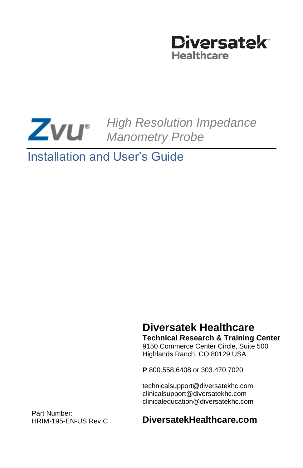

# *High Resolution Impedance Manometry Probe*

# Installation and User's Guide

# **Diversatek Healthcare**

**Technical Research & Training Center**

9150 Commerce Center Circle, Suite 500 Highlands Ranch, CO 80129 USA

**P** 800.558.6408 or 303.470.7020

technicalsupport@diversatekhc.com clinicalsupport@diversatekhc.com clinicaleducation@diversatekhc.com

Part Number: HRIM-195-EN-US Rev C

#### **DiversatekHealthcare.com**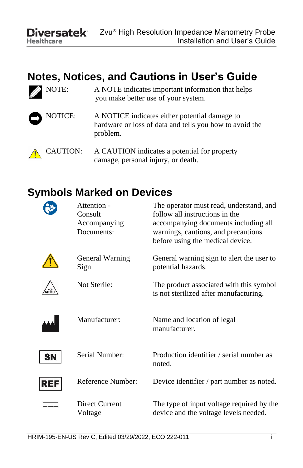**Healthcare** 

# **Notes, Notices, and Cautions in User's Guide**

NOTE: A NOTE indicates important information that helps you make better use of your system.



NOTICE: A NOTICE indicates either potential damage to hardware or loss of data and tells you how to avoid the problem.

CAUTION: A CAUTION indicates a potential for property damage, personal injury, or death.

# **Symbols Marked on Devices**



Attention - Consult Accompanying Documents:

Sign

The operator must read, understand, and follow all instructions in the accompanying documents including all warnings, cautions, and precautions before using the medical device.



General Warning General warning sign to alert the user to potential hazards. Not Sterile: The product associated with this symbol is not sterilized after manufacturing.



**SN** 

REF

| Manufacturer:             | Name and location of legal<br>manufacturer.                                        |
|---------------------------|------------------------------------------------------------------------------------|
| Serial Number:            | Production identifier / serial number as<br>noted.                                 |
| Reference Number:         | Device identifier / part number as noted.                                          |
| Direct Current<br>Voltage | The type of input voltage required by the<br>device and the voltage levels needed. |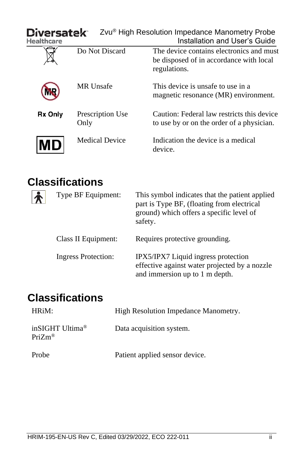| Diversatek<br>Healthcare |                          | Zvu® High Resolution Impedance Manometry Probe<br>Installation and User's Guide                     |
|--------------------------|--------------------------|-----------------------------------------------------------------------------------------------------|
|                          | Do Not Discard           | The device contains electronics and must<br>be disposed of in accordance with local<br>regulations. |
|                          | MR Unsafe                | This device is unsafe to use in a<br>magnetic resonance (MR) environment.                           |
| <b>Rx Only</b>           | Prescription Use<br>Only | Caution: Federal law restricts this device<br>to use by or on the order of a physician.             |
|                          | <b>Medical Device</b>    | Indication the device is a medical<br>device.                                                       |

# **Classifications**

| Type BF Equipment:  | This symbol indicates that the patient applied<br>part is Type BF, (floating from electrical<br>ground) which offers a specific level of<br>safety. |
|---------------------|-----------------------------------------------------------------------------------------------------------------------------------------------------|
| Class II Equipment: | Requires protective grounding.                                                                                                                      |
| Ingress Protection: | IPX5/IPX7 Liquid ingress protection<br>effective against water projected by a nozzle<br>and immersion up to 1 m depth.                              |

# **Classifications**

| HRiM:                                              | High Resolution Impedance Manometry. |
|----------------------------------------------------|--------------------------------------|
| inSIGHT Ultima <sup>®</sup><br>$PriZm^{\circledR}$ | Data acquisition system.             |
| Probe                                              | Patient applied sensor device.       |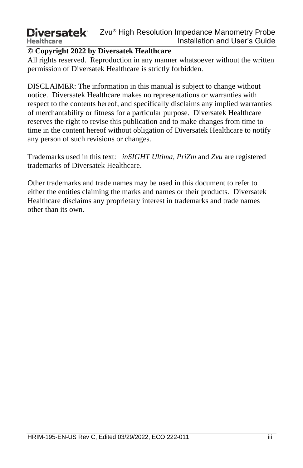#### **© Copyright 2022 by Diversatek Healthcare**

All rights reserved. Reproduction in any manner whatsoever without the written permission of Diversatek Healthcare is strictly forbidden.

DISCLAIMER: The information in this manual is subject to change without notice. Diversatek Healthcare makes no representations or warranties with respect to the contents hereof, and specifically disclaims any implied warranties of merchantability or fitness for a particular purpose. Diversatek Healthcare reserves the right to revise this publication and to make changes from time to time in the content hereof without obligation of Diversatek Healthcare to notify any person of such revisions or changes.

Trademarks used in this text: *inSIGHT Ultima, PriZm* and *Zvu* are registered trademarks of Diversatek Healthcare.

Other trademarks and trade names may be used in this document to refer to either the entities claiming the marks and names or their products. Diversatek Healthcare disclaims any proprietary interest in trademarks and trade names other than its own.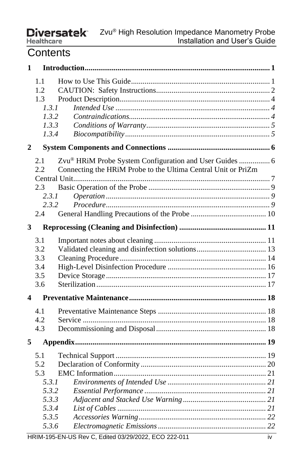### **Contents**

| 1              |                                                                         |                                                                                                                          |  |
|----------------|-------------------------------------------------------------------------|--------------------------------------------------------------------------------------------------------------------------|--|
|                | 1.1<br>1.2.<br>1.3<br>1.3.1<br>1.3.2<br>1.3.3<br>1.3.4                  |                                                                                                                          |  |
| $\overline{2}$ |                                                                         |                                                                                                                          |  |
|                | 2.1<br>2.2<br>2.3<br>2.3.1<br>2.3.2<br>2.4                              | Zvu® HRiM Probe System Configuration and User Guides  6<br>Connecting the HRiM Probe to the Ultima Central Unit or PriZm |  |
| 3              |                                                                         |                                                                                                                          |  |
|                | 3.1<br>3.2<br>3.3<br>3.4<br>3.5<br>3.6                                  |                                                                                                                          |  |
| 4              |                                                                         |                                                                                                                          |  |
|                | 4.1<br>4.2<br>4.3                                                       |                                                                                                                          |  |
| 5              |                                                                         |                                                                                                                          |  |
|                | 5.1<br>5.2<br>5.3<br>5.3.1<br>5.3.2<br>5.3.3<br>5.3.4<br>5.3.5<br>5.3.6 |                                                                                                                          |  |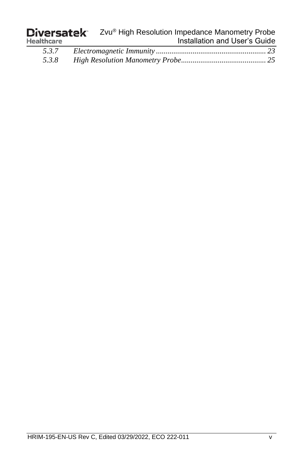| <b>Diversatek</b> | Zvu® High Resolution Impedance Manometry Probe |
|-------------------|------------------------------------------------|
| <b>Healthcare</b> | Installation and User's Guide                  |
|                   |                                                |

| 5.3.7 |  |
|-------|--|
| 5.3.8 |  |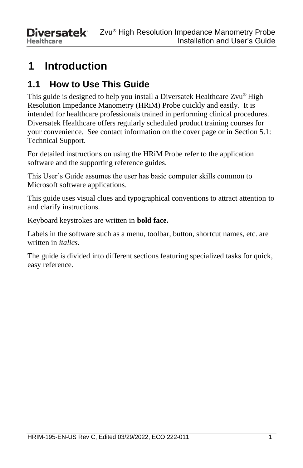# <span id="page-6-0"></span>**1 Introduction**

# <span id="page-6-1"></span>**1.1 How to Use This Guide**

This guide is designed to help you install a Diversatek Healthcare Zvu® High Resolution Impedance Manometry (HRiM) Probe quickly and easily. It is intended for healthcare professionals trained in performing clinical procedures. Diversatek Healthcare offers regularly scheduled product training courses for your convenience. See contact information on the cover page or in Section 5.1: Technical Support.

For detailed instructions on using the HRiM Probe refer to the application software and the supporting reference guides.

This User's Guide assumes the user has basic computer skills common to Microsoft software applications.

This guide uses visual clues and typographical conventions to attract attention to and clarify instructions.

Keyboard keystrokes are written in **bold face.**

Labels in the software such as a menu, toolbar, button, shortcut names, etc. are written in *italics*.

The guide is divided into different sections featuring specialized tasks for quick, easy reference.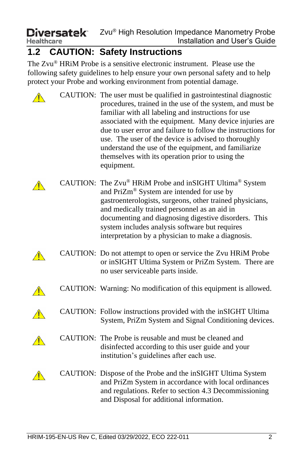# <span id="page-7-0"></span>**1.2 CAUTION: Safety Instructions**

The Zvu® HRiM Probe is a sensitive electronic instrument. Please use the following safety guidelines to help ensure your own personal safety and to help protect your Probe and working environment from potential damage.

|  | CAUTION: The user must be qualified in gastrointestinal diagnostic<br>procedures, trained in the use of the system, and must be<br>familiar with all labeling and instructions for use<br>associated with the equipment. Many device injuries are<br>due to user error and failure to follow the instructions for<br>use. The user of the device is advised to thoroughly<br>understand the use of the equipment, and familiarize<br>themselves with its operation prior to using the<br>equipment. |
|--|-----------------------------------------------------------------------------------------------------------------------------------------------------------------------------------------------------------------------------------------------------------------------------------------------------------------------------------------------------------------------------------------------------------------------------------------------------------------------------------------------------|
|  | CAUTION: The Zvu® HRiM Probe and inSIGHT Ultima® System<br>and PriZm® System are intended for use by<br>gastroenterologists, surgeons, other trained physicians,<br>and medically trained personnel as an aid in<br>documenting and diagnosing digestive disorders. This<br>system includes analysis software but requires<br>interpretation by a physician to make a diagnosis.                                                                                                                    |
|  | CAUTION: Do not attempt to open or service the Zvu HRiM Probe<br>or inSIGHT Ultima System or PriZm System. There are<br>no user serviceable parts inside.                                                                                                                                                                                                                                                                                                                                           |
|  | CAUTION: Warning: No modification of this equipment is allowed.                                                                                                                                                                                                                                                                                                                                                                                                                                     |
|  | CAUTION: Follow instructions provided with the inSIGHT Ultima<br>System, PriZm System and Signal Conditioning devices.                                                                                                                                                                                                                                                                                                                                                                              |
|  | CAUTION: The Probe is reusable and must be cleaned and<br>disinfected according to this user guide and your<br>institution's guidelines after each use.                                                                                                                                                                                                                                                                                                                                             |
|  | CAUTION: Dispose of the Probe and the inSIGHT Ultima System<br>and PriZm System in accordance with local ordinances<br>and regulations. Refer to section 4.3 Decommissioning<br>and Disposal for additional information.                                                                                                                                                                                                                                                                            |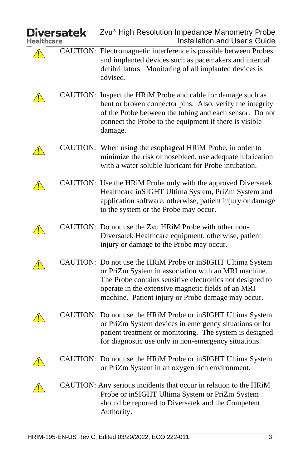| iversatek <sup>.</sup> |  | Zvu® High Resolution Impedance Manometry Probe<br>Installation and User's Guide                                                                                                                                                                                                            |
|------------------------|--|--------------------------------------------------------------------------------------------------------------------------------------------------------------------------------------------------------------------------------------------------------------------------------------------|
|                        |  | CAUTION: Electromagnetic interference is possible between Probes<br>and implanted devices such as pacemakers and internal<br>defibrillators. Monitoring of all implanted devices is<br>advised.                                                                                            |
|                        |  | CAUTION: Inspect the HRiM Probe and cable for damage such as<br>bent or broken connector pins. Also, verify the integrity<br>of the Probe between the tubing and each sensor. Do not<br>connect the Probe to the equipment if there is visible<br>damage.                                  |
|                        |  | CAUTION: When using the esophageal HRiM Probe, in order to<br>minimize the risk of nosebleed, use adequate lubrication<br>with a water soluble lubricant for Probe intubation.                                                                                                             |
|                        |  | CAUTION: Use the HRiM Probe only with the approved Diversatek<br>Healthcare inSIGHT Ultima System, PriZm System and<br>application software, otherwise, patient injury or damage<br>to the system or the Probe may occur.                                                                  |
|                        |  | CAUTION: Do not use the Zvu HRiM Probe with other non-<br>Diversatek Healthcare equipment, otherwise, patient<br>injury or damage to the Probe may occur.                                                                                                                                  |
|                        |  | CAUTION: Do not use the HRiM Probe or inSIGHT Ultima System<br>or PriZm System in association with an MRI machine.<br>The Probe contains sensitive electronics not designed to<br>operate in the extensive magnetic fields of an MRI<br>machine. Patient injury or Probe damage may occur. |
|                        |  | CAUTION: Do not use the HRiM Probe or inSIGHT Ultima System<br>or PriZm System devices in emergency situations or for<br>patient treatment or monitoring. The system is designed<br>for diagnostic use only in non-emergency situations.                                                   |
|                        |  | CAUTION: Do not use the HRiM Probe or inSIGHT Ultima System<br>or PriZm System in an oxygen rich environment.                                                                                                                                                                              |
|                        |  | CAUTION: Any serious incidents that occur in relation to the HRiM<br>Probe or inSIGHT Ultima System or PriZm System<br>should be reported to Diversatek and the Competent<br>Authority.                                                                                                    |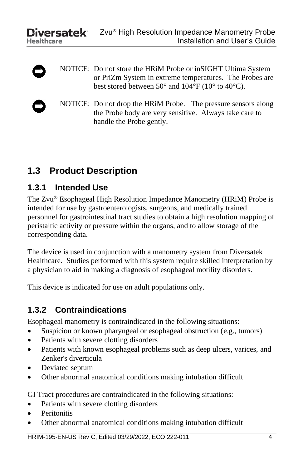- NOTICE: Do not store the HRiM Probe or inSIGHT Ultima System or PriZm System in extreme temperatures. The Probes are best stored between 50° and 104°F (10° to 40°C).
	- NOTICE: Do not drop the HRiM Probe. The pressure sensors along the Probe body are very sensitive. Always take care to handle the Probe gently.

## <span id="page-9-0"></span>**1.3 Product Description**

#### <span id="page-9-1"></span>**1.3.1 Intended Use**

The Zvu® Esophageal High Resolution Impedance Manometry (HRiM) Probe is intended for use by gastroenterologists, surgeons, and medically trained personnel for gastrointestinal tract studies to obtain a high resolution mapping of peristaltic activity or pressure within the organs, and to allow storage of the corresponding data.

The device is used in conjunction with a manometry system from Diversatek Healthcare. Studies performed with this system require skilled interpretation by a physician to aid in making a diagnosis of esophageal motility disorders.

This device is indicated for use on adult populations only.

#### <span id="page-9-2"></span>**1.3.2 Contraindications**

Esophageal manometry is contraindicated in the following situations:

- Suspicion or known pharyngeal or esophageal obstruction (e.g., tumors)
- Patients with severe clotting disorders
- Patients with known esophageal problems such as deep ulcers, varices, and Zenker's diverticula
- Deviated septum
- Other abnormal anatomical conditions making intubation difficult

GI Tract procedures are contraindicated in the following situations:

- Patients with severe clotting disorders
- **Peritonitis**
- Other abnormal anatomical conditions making intubation difficult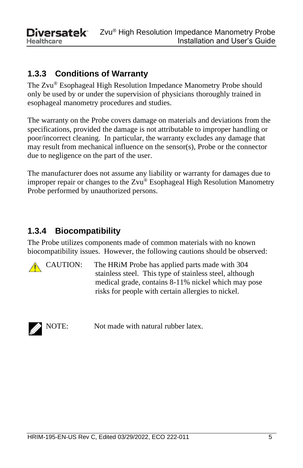**Ziversatek** Zvu® High Resolution Impedance Manometry Probe Installation and User's Guide **Healthcare** 

### <span id="page-10-0"></span>**1.3.3 Conditions of Warranty**

The Zvu® Esophageal High Resolution Impedance Manometry Probe should only be used by or under the supervision of physicians thoroughly trained in esophageal manometry procedures and studies.

The warranty on the Probe covers damage on materials and deviations from the specifications, provided the damage is not attributable to improper handling or poor/incorrect cleaning. In particular, the warranty excludes any damage that may result from mechanical influence on the sensor(s), Probe or the connector due to negligence on the part of the user.

The manufacturer does not assume any liability or warranty for damages due to improper repair or changes to the Zvu® Esophageal High Resolution Manometry Probe performed by unauthorized persons.

### <span id="page-10-1"></span>**1.3.4 Biocompatibility**

The Probe utilizes components made of common materials with no known biocompatibility issues. However, the following cautions should be observed:

CAUTION: The HRiM Probe has applied parts made with 304 stainless steel. This type of stainless steel, although medical grade, contains 8-11% nickel which may pose risks for people with certain allergies to nickel.



NOTE: Not made with natural rubber latex.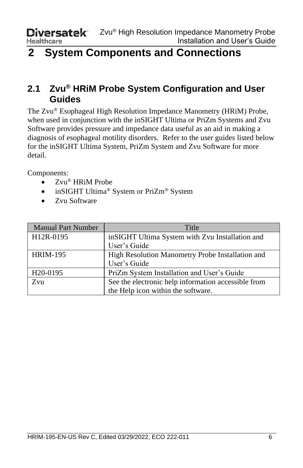# <span id="page-11-0"></span>**2 System Components and Connections**

### <span id="page-11-1"></span>**2.1 Zvu® HRiM Probe System Configuration and User Guides**

The Zvu® Esophageal High Resolution Impedance Manometry (HRiM) Probe, when used in conjunction with the inSIGHT Ultima or PriZm Systems and Zvu Software provides pressure and impedance data useful as an aid in making a diagnosis of esophageal motility disorders. Refer to the user guides listed below for the inSIGHT Ultima System, PriZm System and Zvu Software for more detail.

Components:

- Zvu<sup>®</sup> HRiM Probe
- inSIGHT Ultima<sup>®</sup> System or PriZm<sup>®</sup> System
- Zvu Software

| Manual Part Number    | Title                                               |
|-----------------------|-----------------------------------------------------|
| H12R-0195             | inSIGHT Ultima System with Zvu Installation and     |
|                       | User's Guide                                        |
| <b>HRIM-195</b>       | High Resolution Manometry Probe Installation and    |
|                       | User's Guide                                        |
| H <sub>20</sub> -0195 | PriZm System Installation and User's Guide          |
| Zvu                   | See the electronic help information accessible from |
|                       | the Help icon within the software.                  |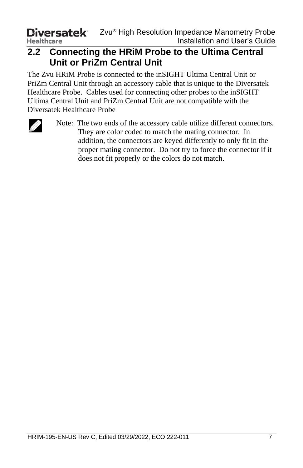### <span id="page-12-0"></span>**2.2 Connecting the HRiM Probe to the Ultima Central Unit or PriZm Central Unit**

The Zvu HRiM Probe is connected to the inSIGHT Ultima Central Unit or PriZm Central Unit through an accessory cable that is unique to the Diversatek Healthcare Probe. Cables used for connecting other probes to the inSIGHT Ultima Central Unit and PriZm Central Unit are not compatible with the Diversatek Healthcare Probe



Note: The two ends of the accessory cable utilize different connectors. They are color coded to match the mating connector. In addition, the connectors are keyed differently to only fit in the proper mating connector. Do not try to force the connector if it does not fit properly or the colors do not match.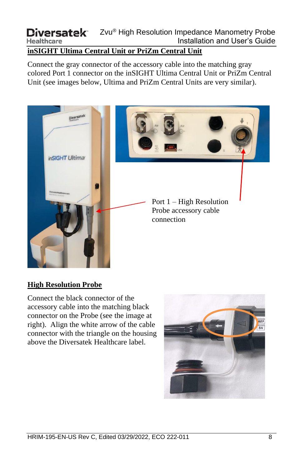#### **inSIGHT Ultima Central Unit or PriZm Central Unit**

Connect the gray connector of the accessory cable into the matching gray colored Port 1 connector on the inSIGHT Ultima Central Unit or PriZm Central Unit (see images below, Ultima and PriZm Central Units are very similar).



#### **High Resolution Probe**

Connect the black connector of the accessory cable into the matching black connector on the Probe (see the image at right). Align the white arrow of the cable connector with the triangle on the housing above the Diversatek Healthcare label.

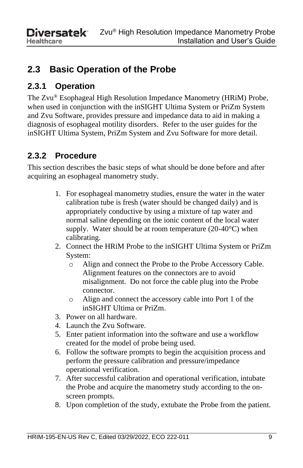# <span id="page-14-0"></span>**2.3 Basic Operation of the Probe**

### <span id="page-14-1"></span>**2.3.1 Operation**

The Zvu® Esophageal High Resolution Impedance Manometry (HRiM) Probe, when used in conjunction with the inSIGHT Ultima System or PriZm System and Zvu Software, provides pressure and impedance data to aid in making a diagnosis of esophageal motility disorders. Refer to the user guides for the inSIGHT Ultima System, PriZm System and Zvu Software for more detail.

### <span id="page-14-2"></span>**2.3.2 Procedure**

This section describes the basic steps of what should be done before and after acquiring an esophageal manometry study.

- 1. For esophageal manometry studies, ensure the water in the water calibration tube is fresh (water should be changed daily) and is appropriately conductive by using a mixture of tap water and normal saline depending on the ionic content of the local water supply. Water should be at room temperature  $(20-40^{\circ}C)$  when calibrating.
- 2. Connect the HRiM Probe to the inSIGHT Ultima System or PriZm System:
	- o Align and connect the Probe to the Probe Accessory Cable. Alignment features on the connectors are to avoid misalignment. Do not force the cable plug into the Probe connector.
	- o Align and connect the accessory cable into Port 1 of the inSIGHT Ultima or PriZm.
- 3. Power on all hardware.
- 4. Launch the Zvu Software.
- 5. Enter patient information into the software and use a workflow created for the model of probe being used.
- 6. Follow the software prompts to begin the acquisition process and perform the pressure calibration and pressure/impedance operational verification.
- 7. After successful calibration and operational verification, intubate the Probe and acquire the manometry study according to the onscreen prompts.
- 8. Upon completion of the study, extubate the Probe from the patient.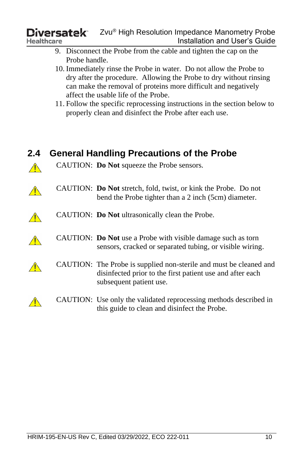- 9. Disconnect the Probe from the cable and tighten the cap on the Probe handle.
- 10. Immediately rinse the Probe in water. Do not allow the Probe to dry after the procedure. Allowing the Probe to dry without rinsing can make the removal of proteins more difficult and negatively affect the usable life of the Probe.
- 11. Follow the specific reprocessing instructions in the section below to properly clean and disinfect the Probe after each use.

<span id="page-15-0"></span>

| 2.4 | <b>General Handling Precautions of the Probe</b>                                                                                                           |
|-----|------------------------------------------------------------------------------------------------------------------------------------------------------------|
|     | CAUTION: Do Not squeeze the Probe sensors.                                                                                                                 |
|     | CAUTION: <b>Do Not</b> stretch, fold, twist, or kink the Probe. Do not<br>bend the Probe tighter than a 2 inch (5cm) diameter.                             |
|     | CAUTION: Do Not ultrasonically clean the Probe.                                                                                                            |
|     | CAUTION: <b>Do Not</b> use a Probe with visible damage such as torn<br>sensors, cracked or separated tubing, or visible wiring.                            |
|     | CAUTION: The Probe is supplied non-sterile and must be cleaned and<br>disinfected prior to the first patient use and after each<br>subsequent patient use. |
|     | CAUTION: Use only the validated reprocessing methods described in<br>this guide to clean and disinfect the Probe.                                          |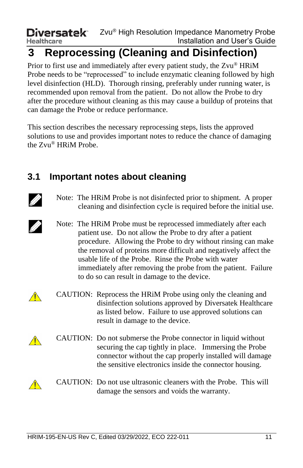# <span id="page-16-0"></span>**3 Reprocessing (Cleaning and Disinfection)**

Prior to first use and immediately after every patient study, the Zvu® HRiM Probe needs to be "reprocessed" to include enzymatic cleaning followed by high level disinfection (HLD). Thorough rinsing, preferably under running water, is recommended upon removal from the patient. Do not allow the Probe to dry after the procedure without cleaning as this may cause a buildup of proteins that can damage the Probe or reduce performance.

This section describes the necessary reprocessing steps, lists the approved solutions to use and provides important notes to reduce the chance of damaging the Zvu® HRiM Probe.

## <span id="page-16-1"></span>**3.1 Important notes about cleaning**



11

- Note: The HRiM Probe is not disinfected prior to shipment. A proper cleaning and disinfection cycle is required before the initial use.
- Note: The HRiM Probe must be reprocessed immediately after each patient use. Do not allow the Probe to dry after a patient procedure. Allowing the Probe to dry without rinsing can make the removal of proteins more difficult and negatively affect the usable life of the Probe. Rinse the Probe with water immediately after removing the probe from the patient. Failure to do so can result in damage to the device.
- CAUTION: Reprocess the HRiM Probe using only the cleaning and disinfection solutions approved by Diversatek Healthcare as listed below. Failure to use approved solutions can result in damage to the device.



 $\sqrt{\wedge}$ 

 $\sqrt{N}$ 

- CAUTION: Do not submerse the Probe connector in liquid without securing the cap tightly in place. Immersing the Probe connector without the cap properly installed will damage the sensitive electronics inside the connector housing.
- CAUTION: Do not use ultrasonic cleaners with the Probe. This will damage the sensors and voids the warranty.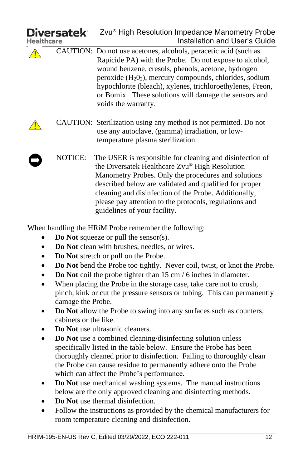| <b>Diversatek</b><br>Healthcare | Zvu® High Resolution Impedance Manometry Probe<br>Installation and User's Guide                                                                                                                                                                                                                                                                                                             |
|---------------------------------|---------------------------------------------------------------------------------------------------------------------------------------------------------------------------------------------------------------------------------------------------------------------------------------------------------------------------------------------------------------------------------------------|
|                                 | CAUTION: Do not use acetones, alcohols, peracetic acid (such as<br>Rapicide PA) with the Probe. Do not expose to alcohol,<br>wound benzene, cresols, phenols, acetone, hydrogen<br>peroxide $(H_2O_2)$ , mercury compounds, chlorides, sodium<br>hypochlorite (bleach), xylenes, trichloroethylenes, Freon,<br>or Bomix. These solutions will damage the sensors and<br>voids the warranty. |
|                                 | CAUTION: Sterilization using any method is not permitted. Do not<br>use any autoclave, (gamma) irradiation, or low-<br>temperature plasma sterilization.                                                                                                                                                                                                                                    |
| NOTICE:                         | The USER is responsible for cleaning and disinfection of<br>the Diversatek Healthcare Zvu® High Resolution<br>Manometry Probes. Only the procedures and solutions<br>described below are validated and qualified for proper<br>cleaning and disinfection of the Probe. Additionally,<br>please pay attention to the protocols, regulations and<br>guidelines of your facility.              |
|                                 | When handling the HRiM Probe remember the following:<br>$\bullet$ Do Not squeeze or pull the sensor(s)                                                                                                                                                                                                                                                                                      |

- **Do Not** squeeze or pull the sensor(s).
- **Do Not** clean with brushes, needles, or wires.
- **Do Not** stretch or pull on the Probe.
- **Do Not** bend the Probe too tightly. Never coil, twist, or knot the Probe.
- **Do Not** coil the probe tighter than 15 cm / 6 inches in diameter.
- When placing the Probe in the storage case, take care not to crush, pinch, kink or cut the pressure sensors or tubing. This can permanently damage the Probe.
- **Do Not** allow the Probe to swing into any surfaces such as counters, cabinets or the like.
- **Do Not** use ultrasonic cleaners.
- **Do Not** use a combined cleaning/disinfecting solution unless specifically listed in the table below. Ensure the Probe has been thoroughly cleaned prior to disinfection. Failing to thoroughly clean the Probe can cause residue to permanently adhere onto the Probe which can affect the Probe's performance.
- **Do Not** use mechanical washing systems. The manual instructions below are the only approved cleaning and disinfecting methods.
- **Do Not** use thermal disinfection.
- Follow the instructions as provided by the chemical manufacturers for room temperature cleaning and disinfection.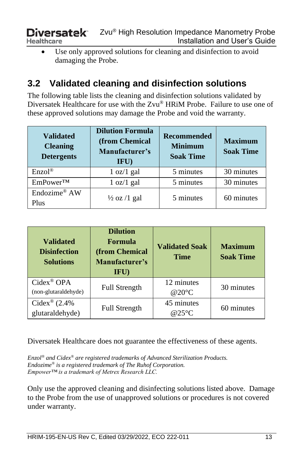• Use only approved solutions for cleaning and disinfection to avoid damaging the Probe.

# <span id="page-18-0"></span>**3.2 Validated cleaning and disinfection solutions**

The following table lists the cleaning and disinfection solutions validated by Diversatek Healthcare for use with the Zvu® HRiM Probe. Failure to use one of these approved solutions may damage the Probe and void the warranty.

| <b>Validated</b><br><b>Cleaning</b><br><b>Detergents</b> | <b>Dilution Formula</b><br>(from Chemical<br>Manufacturer's<br>IFU | Recommended<br><b>Minimum</b><br><b>Soak Time</b> | <b>Maximum</b><br><b>Soak Time</b> |  |
|----------------------------------------------------------|--------------------------------------------------------------------|---------------------------------------------------|------------------------------------|--|
| Enzol <sup>®</sup>                                       | 1 oz/1 gal                                                         | 5 minutes                                         | 30 minutes                         |  |
| $EmPower^{TM}$                                           | 1 oz/1 gal                                                         | 5 minutes                                         | 30 minutes                         |  |
| Endozime® AW<br>Plus                                     | $\frac{1}{2}$ oz /1 gal                                            | 5 minutes                                         | 60 minutes                         |  |

| <b>Validated</b><br><b>Disinfection</b><br><b>Solutions</b> | <b>Dilution</b><br>Formula<br>(from Chemical<br>Manufacturer's<br>IFU) | <b>Validated Soak</b><br><b>Time</b> | <b>Maximum</b><br><b>Soak Time</b> |
|-------------------------------------------------------------|------------------------------------------------------------------------|--------------------------------------|------------------------------------|
| Cidex <sup>®</sup> OPA<br>(non-glutaraldehyde)              | <b>Full Strength</b>                                                   | 12 minutes<br>@20°C                  | 30 minutes                         |
| Cidex® $(2.4%$<br>glutaraldehyde)                           | <b>Full Strength</b>                                                   | 45 minutes<br>@25°C                  | 60 minutes                         |

Diversatek Healthcare does not guarantee the effectiveness of these agents.

*Enzol® and Cidex® are registered trademarks of Advanced Sterilization Products. Endozime® is a registered trademark of The Ruhof Corporation. Empower™ is a trademark of Metrex Research LLC.*

Only use the approved cleaning and disinfecting solutions listed above. Damage to the Probe from the use of unapproved solutions or procedures is not covered under warranty.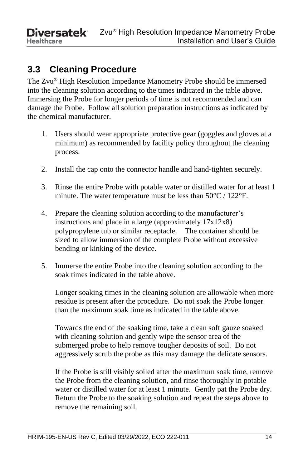# <span id="page-19-0"></span>**3.3 Cleaning Procedure**

The Zvu® High Resolution Impedance Manometry Probe should be immersed into the cleaning solution according to the times indicated in the table above. Immersing the Probe for longer periods of time is not recommended and can damage the Probe. Follow all solution preparation instructions as indicated by the chemical manufacturer.

- 1. Users should wear appropriate protective gear (goggles and gloves at a minimum) as recommended by facility policy throughout the cleaning process.
- 2. Install the cap onto the connector handle and hand-tighten securely.
- 3. Rinse the entire Probe with potable water or distilled water for at least 1 minute. The water temperature must be less than 50°C / 122°F.
- 4. Prepare the cleaning solution according to the manufacturer's instructions and place in a large (approximately 17x12x8) polypropylene tub or similar receptacle. The container should be sized to allow immersion of the complete Probe without excessive bending or kinking of the device.
- 5. Immerse the entire Probe into the cleaning solution according to the soak times indicated in the table above.

Longer soaking times in the cleaning solution are allowable when more residue is present after the procedure. Do not soak the Probe longer than the maximum soak time as indicated in the table above.

Towards the end of the soaking time, take a clean soft gauze soaked with cleaning solution and gently wipe the sensor area of the submerged probe to help remove tougher deposits of soil. Do not aggressively scrub the probe as this may damage the delicate sensors.

If the Probe is still visibly soiled after the maximum soak time, remove the Probe from the cleaning solution, and rinse thoroughly in potable water or distilled water for at least 1 minute. Gently pat the Probe dry. Return the Probe to the soaking solution and repeat the steps above to remove the remaining soil.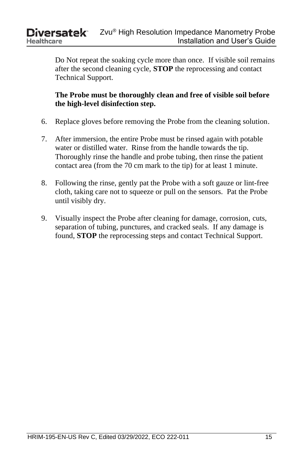Do Not repeat the soaking cycle more than once. If visible soil remains after the second cleaning cycle, **STOP** the reprocessing and contact Technical Support.

**The Probe must be thoroughly clean and free of visible soil before the high-level disinfection step.**

- 6. Replace gloves before removing the Probe from the cleaning solution.
- 7. After immersion, the entire Probe must be rinsed again with potable water or distilled water. Rinse from the handle towards the tip. Thoroughly rinse the handle and probe tubing, then rinse the patient contact area (from the 70 cm mark to the tip) for at least 1 minute.
- 8. Following the rinse, gently pat the Probe with a soft gauze or lint-free cloth, taking care not to squeeze or pull on the sensors. Pat the Probe until visibly dry.
- 9. Visually inspect the Probe after cleaning for damage, corrosion, cuts, separation of tubing, punctures, and cracked seals. If any damage is found, **STOP** the reprocessing steps and contact Technical Support.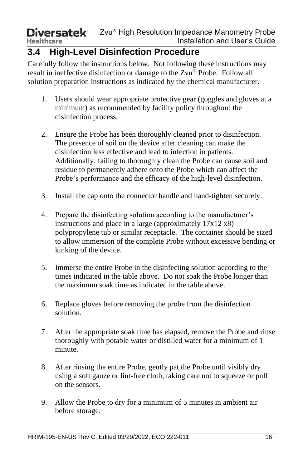### <span id="page-21-0"></span>**3.4 High-Level Disinfection Procedure**

Carefully follow the instructions below. Not following these instructions may result in ineffective disinfection or damage to the Zvu® Probe. Follow all solution preparation instructions as indicated by the chemical manufacturer.

- 1. Users should wear appropriate protective gear (goggles and gloves at a minimum) as recommended by facility policy throughout the disinfection process.
- 2. Ensure the Probe has been thoroughly cleaned prior to disinfection. The presence of soil on the device after cleaning can make the disinfection less effective and lead to infection in patients. Additionally, failing to thoroughly clean the Probe can cause soil and residue to permanently adhere onto the Probe which can affect the Probe's performance and the efficacy of the high-level disinfection.
- 3. Install the cap onto the connector handle and hand-tighten securely.
- 4. Prepare the disinfecting solution according to the manufacturer's instructions and place in a large (approximately 17x12 x8) polypropylene tub or similar receptacle. The container should be sized to allow immersion of the complete Probe without excessive bending or kinking of the device.
- 5. Immerse the entire Probe in the disinfecting solution according to the times indicated in the table above. Do not soak the Probe longer than the maximum soak time as indicated in the table above.
- 6. Replace gloves before removing the probe from the disinfection solution.
- 7. After the appropriate soak time has elapsed, remove the Probe and rinse thoroughly with potable water or distilled water for a minimum of 1 minute.
- 8. After rinsing the entire Probe, gently pat the Probe until visibly dry using a soft gauze or lint-free cloth, taking care not to squeeze or pull on the sensors.
- 9. Allow the Probe to dry for a minimum of 5 minutes in ambient air before storage.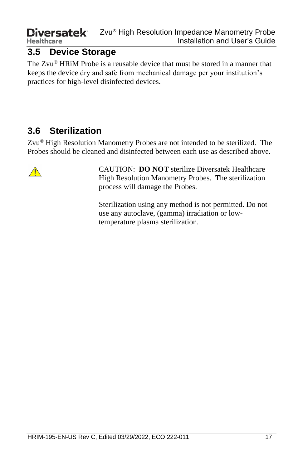### <span id="page-22-0"></span>**3.5 Device Storage**

The Zvu® HRiM Probe is a reusable device that must be stored in a manner that keeps the device dry and safe from mechanical damage per your institution's practices for high-level disinfected devices.

## <span id="page-22-1"></span>**3.6 Sterilization**

Zvu® High Resolution Manometry Probes are not intended to be sterilized. The Probes should be cleaned and disinfected between each use as described above.



CAUTION: **DO NOT** sterilize Diversatek Healthcare High Resolution Manometry Probes. The sterilization process will damage the Probes.

Sterilization using any method is not permitted. Do not use any autoclave, (gamma) irradiation or lowtemperature plasma sterilization.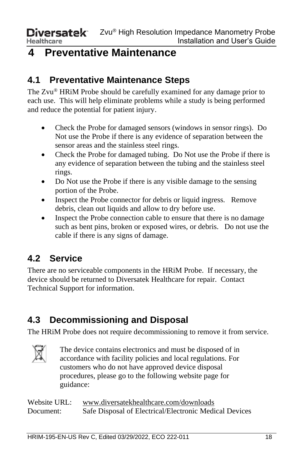# <span id="page-23-0"></span>**4 Preventative Maintenance**

# <span id="page-23-1"></span>**4.1 Preventative Maintenance Steps**

The Zvu® HRiM Probe should be carefully examined for any damage prior to each use. This will help eliminate problems while a study is being performed and reduce the potential for patient injury.

- Check the Probe for damaged sensors (windows in sensor rings). Do Not use the Probe if there is any evidence of separation between the sensor areas and the stainless steel rings.
- Check the Probe for damaged tubing. Do Not use the Probe if there is any evidence of separation between the tubing and the stainless steel rings.
- Do Not use the Probe if there is any visible damage to the sensing portion of the Probe.
- Inspect the Probe connector for debris or liquid ingress. Remove debris, clean out liquids and allow to dry before use.
- Inspect the Probe connection cable to ensure that there is no damage such as bent pins, broken or exposed wires, or debris. Do not use the cable if there is any signs of damage.

# <span id="page-23-2"></span>**4.2 Service**

There are no serviceable components in the HRiM Probe. If necessary, the device should be returned to Diversatek Healthcare for repair. Contact Technical Support for information.

# <span id="page-23-3"></span>**4.3 Decommissioning and Disposal**

The HRiM Probe does not require decommissioning to remove it from service.



The device contains electronics and must be disposed of in accordance with facility policies and local regulations. For customers who do not have approved device disposal procedures, please go to the following website page for guidance:

| Website URL: | www.diversatekhealthcare.com/downloads                 |  |  |
|--------------|--------------------------------------------------------|--|--|
| Document:    | Safe Disposal of Electrical/Electronic Medical Devices |  |  |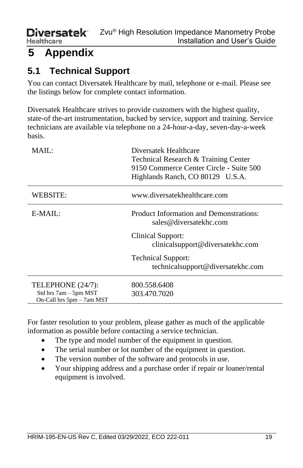# <span id="page-24-0"></span>**5 Appendix**

# <span id="page-24-1"></span>**5.1 Technical Support**

You can contact Diversatek Healthcare by mail, telephone or e-mail. Please see the listings below for complete contact information.

Diversatek Healthcare strives to provide customers with the highest quality, state-of the-art instrumentation, backed by service, support and training. Service technicians are available via telephone on a 24-hour-a-day, seven-day-a-week basis.

| MAIL:                                                                   | Diversatek Healthcare<br>Technical Research & Training Center<br>9150 Commerce Center Circle - Suite 500<br>Highlands Ranch, CO 80129 U.S.A. |
|-------------------------------------------------------------------------|----------------------------------------------------------------------------------------------------------------------------------------------|
| WEBSITE:                                                                | www.diversatekhealthcare.com                                                                                                                 |
| $E-MAIL:$                                                               | <b>Product Information and Demonstrations:</b><br>sales@diversatekhc.com                                                                     |
|                                                                         | Clinical Support:<br>clinicalsupport@diversatekhc.com                                                                                        |
|                                                                         | <b>Technical Support:</b><br>technicalsupport@diversatekhc.com                                                                               |
| TELEPHONE (24/7):<br>Std hrs 7am – 5pm MST<br>On-Call hrs 5pm - 7am MST | 800.558.6408<br>303.470.7020                                                                                                                 |

For faster resolution to your problem, please gather as much of the applicable information as possible before contacting a service technician.

- The type and model number of the equipment in question.
- The serial number or lot number of the equipment in question.
- The version number of the software and protocols in use.
- Your shipping address and a purchase order if repair or loaner/rental equipment is involved.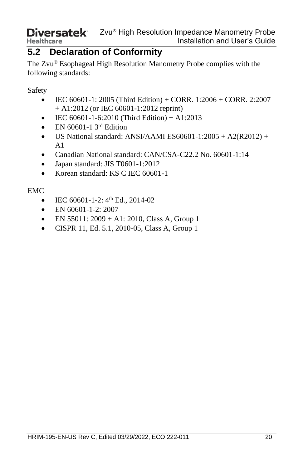### <span id="page-25-0"></span>**5.2 Declaration of Conformity**

The Zvu ® Esophageal High Resolution Manometry Probe complies with the following standards:

Safety

- IEC 60601-1: 2005 (Third Edition) + CORR. 1:2006 + CORR. 2:2007 + A1:2012 (or IEC 60601-1:2012 reprint)
- IEC  $60601 1 6:2010$  (Third Edition) + A1:2013
- EN  $60601 1$  3<sup>rd</sup> Edition
- US National standard: ANSI/AAMI ES60601-1:2005 + A2(R2012) +  $A<sub>1</sub>$
- Canadian National standard: CAN/CSA-C22.2 No. 60601-1:14
- Japan standard: JIS T0601-1:2012
- Korean standard: KS C IEC 60601-1

EMC

- IEC  $60601 1 2$ :  $4<sup>th</sup>$  Ed., 2014-02
- EN 60601-1-2: 2007
- EN 55011:  $2009 + A1$ : 2010, Class A, Group 1
- CISPR 11, Ed. 5.1, 2010-05, Class A, Group 1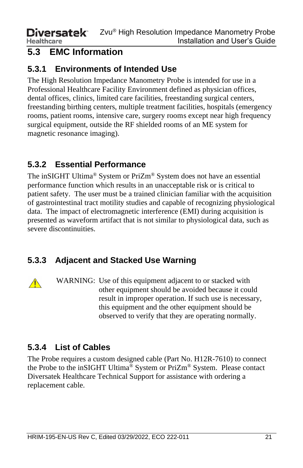## <span id="page-26-0"></span>**5.3 EMC Information**

### <span id="page-26-1"></span>**5.3.1 Environments of Intended Use**

The High Resolution Impedance Manometry Probe is intended for use in a Professional Healthcare Facility Environment defined as physician offices, dental offices, clinics, limited care facilities, freestanding surgical centers, freestanding birthing centers, multiple treatment facilities, hospitals (emergency rooms, patient rooms, intensive care, surgery rooms except near high frequency surgical equipment, outside the RF shielded rooms of an ME system for magnetic resonance imaging).

### <span id="page-26-2"></span>**5.3.2 Essential Performance**

The inSIGHT Ultima® System or PriZm® System does not have an essential performance function which results in an unacceptable risk or is critical to patient safety. The user must be a trained clinician familiar with the acquisition of gastrointestinal tract motility studies and capable of recognizing physiological data. The impact of electromagnetic interference (EMI) during acquisition is presented as waveform artifact that is not similar to physiological data, such as severe discontinuities.

### <span id="page-26-3"></span>**5.3.3 Adjacent and Stacked Use Warning**



WARNING: Use of this equipment adjacent to or stacked with other equipment should be avoided because it could result in improper operation. If such use is necessary, this equipment and the other equipment should be observed to verify that they are operating normally.

### <span id="page-26-4"></span>**5.3.4 List of Cables**

The Probe requires a custom designed cable (Part No. H12R-7610) to connect the Probe to the inSIGHT Ultima® System or PriZm® System. Please contact Diversatek Healthcare Technical Support for assistance with ordering a replacement cable.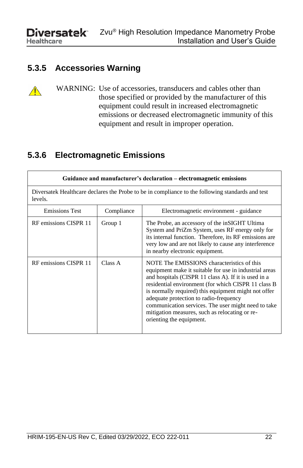$\bigwedge$ 

### <span id="page-27-0"></span>**5.3.5 Accessories Warning**

WARNING: Use of accessories, transducers and cables other than those specified or provided by the manufacturer of this equipment could result in increased electromagnetic emissions or decreased electromagnetic immunity of this equipment and result in improper operation.

#### <span id="page-27-1"></span>**5.3.6 Electromagnetic Emissions**

| Guidance and manufacturer's declaration – electromagnetic emissions                                         |            |                                                                                                                                                                                                                                                                                                                                                                                                                                                            |  |
|-------------------------------------------------------------------------------------------------------------|------------|------------------------------------------------------------------------------------------------------------------------------------------------------------------------------------------------------------------------------------------------------------------------------------------------------------------------------------------------------------------------------------------------------------------------------------------------------------|--|
| Diversatek Healthcare declares the Probe to be in compliance to the following standards and test<br>levels. |            |                                                                                                                                                                                                                                                                                                                                                                                                                                                            |  |
| <b>Emissions Test</b>                                                                                       | Compliance | Electromagnetic environment - guidance                                                                                                                                                                                                                                                                                                                                                                                                                     |  |
| RF emissions CISPR 11                                                                                       | Group 1    | The Probe, an accessory of the inSIGHT Ultima<br>System and PriZm System, uses RF energy only for<br>its internal function. Therefore, its RF emissions are<br>very low and are not likely to cause any interference<br>in nearby electronic equipment.                                                                                                                                                                                                    |  |
| RF emissions CISPR 11                                                                                       | Class A    | NOTE The EMISSIONS characteristics of this<br>equipment make it suitable for use in industrial areas<br>and hospitals (CISPR 11 class A). If it is used in a<br>residential environment (for which CISPR 11 class B<br>is normally required) this equipment might not offer<br>adequate protection to radio-frequency<br>communication services. The user might need to take<br>mitigation measures, such as relocating or re-<br>orienting the equipment. |  |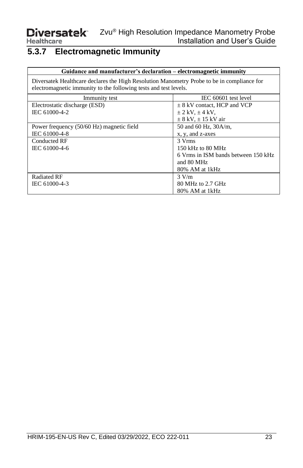# <span id="page-28-0"></span>**5.3.7 Electromagnetic Immunity**

| Guidance and manufacturer's declaration – electromagnetic immunity                                                                                             |                                     |  |  |  |
|----------------------------------------------------------------------------------------------------------------------------------------------------------------|-------------------------------------|--|--|--|
| Diversatek Healthcare declares the High Resolution Manometry Probe to be in compliance for<br>electromagnetic immunity to the following tests and test levels. |                                     |  |  |  |
| IEC 60601 test level<br>Immunity test                                                                                                                          |                                     |  |  |  |
| Electrostatic discharge (ESD)                                                                                                                                  | $\pm$ 8 kV contact, HCP and VCP     |  |  |  |
| IEC 61000-4-2                                                                                                                                                  | $\pm$ 2 kV, $\pm$ 4 kV,             |  |  |  |
|                                                                                                                                                                | $\pm$ 8 kV, $\pm$ 15 kV air         |  |  |  |
| Power frequency (50/60 Hz) magnetic field                                                                                                                      | 50 and 60 Hz, 30A/m,                |  |  |  |
| IEC 61000-4-8                                                                                                                                                  | x, y, and z-axes                    |  |  |  |
| Conducted RF                                                                                                                                                   | 3 Vrms                              |  |  |  |
| IEC 61000-4-6                                                                                                                                                  | $150$ kHz to $80$ MHz               |  |  |  |
|                                                                                                                                                                | 6 Vrms in ISM bands between 150 kHz |  |  |  |
|                                                                                                                                                                | and 80 MHz                          |  |  |  |
|                                                                                                                                                                | 80% AM at 1kHz                      |  |  |  |
| Radiated RF                                                                                                                                                    | 3 V/m                               |  |  |  |
| IEC 61000-4-3                                                                                                                                                  | 80 MHz to 2.7 GHz                   |  |  |  |
|                                                                                                                                                                | 80% AM at 1kHz                      |  |  |  |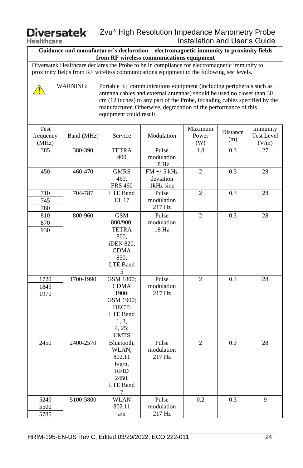**Healthcare** 

**Guidance and manufacturer's declaration – electromagnetic immunity to proximity fields from RF wireless communications equipment**

Diversatek Healthcare declares the Probe to be in compliance for electromagnetic immunity to proximity fields from RF wireless communications equipment to the following test levels.

WARNING: Portable RF communications equipment (including peripherals such as antenna cables and external antennas) should be used no closer than 30 cm (12 inches) to any part of the Probe, including cables specified by the manufacturer. Otherwise, degradation of the performance of this equipment could result.

| Test<br>frequency<br>(MHz) | Band (MHz) | Service                                                                                               | Modulation                              | Maximum<br>Power<br>(W) | Distance<br>(m) | Immunity<br><b>Test Level</b><br>(V/m) |
|----------------------------|------------|-------------------------------------------------------------------------------------------------------|-----------------------------------------|-------------------------|-----------------|----------------------------------------|
| 385                        | 380-390    | <b>TETRA</b><br>400                                                                                   | Pulse<br>modulation<br>18 Hz            | 1.8                     | 0.3             | 27                                     |
| 450                        | 460-470    | <b>GMRS</b><br>460,<br><b>FRS 460</b>                                                                 | $FM +/-5 kHz$<br>deviation<br>1kHz sine | $\overline{2}$          | 0.3             | 28                                     |
| 710<br>745<br>780          | 704-787    | LTE Band<br>13, 17                                                                                    | Pulse<br>modulation<br>217 Hz           | $\overline{2}$          | 0.3             | 28                                     |
| 810<br>870<br>930          | 800-960    | <b>GSM</b><br>800/900,<br><b>TETRA</b><br>800,<br>iDEN 820,<br><b>CDMA</b><br>850,<br>LTE Band<br>5   | Pulse<br>modulation<br>18 Hz            | $\overline{2}$          | 0.3             | 28                                     |
| 1720<br>1845<br>1970       | 1700-1990  | GSM 1800;<br><b>CDMA</b><br>1900:<br>GSM 1900;<br>DECT:<br>LTE Band<br>1, 3,<br>4, 25;<br><b>UMTS</b> | Pulse<br>modulation<br>217 Hz           | $\overline{2}$          | 0.3             | 28                                     |
| 2450                       | 2400-2570  | Bluetooth,<br>WLAN,<br>802.11<br>$b/g/n$ ,<br><b>RFID</b><br>2450.<br><b>LTE Band</b><br>7            | Pulse<br>modulation<br>217 Hz           | $\overline{2}$          | 0.3             | 28                                     |
| 5240<br>5500<br>5785       | 5100-5800  | <b>WLAN</b><br>802.11<br>a/n                                                                          | Pulse<br>modulation<br>217 Hz           | 0.2                     | 0.3             | 9                                      |